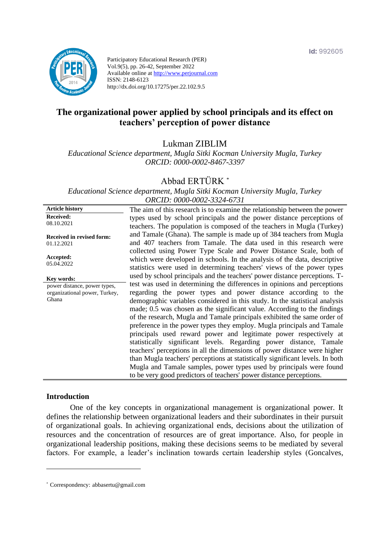

Participatory Educational Research (PER) Vol.9(5), pp. 26-42, September 2022 Available online at http://www.perjournal.com ISSN: 2148-6123 http://dx.doi.org/10.17275/per.22.102.9.5

# **The organizational power applied by school principals and its effect on teachers' perception of power distance**

Lukman ZIBLIM

*Educational Science department, Mugla Sitki Kocman University Mugla, Turkey ORCID: 0000-0002-8467-3397*

### Abbad ERTÜRK *\**

*Educational Science department, Mugla Sitki Kocman University Mugla, Turkey ORCID: 0000-0002-3324-6731*

**Article history Received:**  08.10.2021 **Received in revised form:**  01.12.2021 **Accepted:** 05.04.2022 The aim of this research is to examine the relationship between the power types used by school principals and the power distance perceptions of teachers. The population is composed of the teachers in Mugla (Turkey) and Tamale (Ghana). The sample is made up of 384 teachers from Mugla and 407 teachers from Tamale. The data used in this research were collected using Power Type Scale and Power Distance Scale, both of which were developed in schools. In the analysis of the data, descriptive statistics were used in determining teachers' views of the power types used by school principals and the teachers' power distance perceptions. Ttest was used in determining the differences in opinions and perceptions regarding the power types and power distance according to the demographic variables considered in this study. In the statistical analysis made; 0.5 was chosen as the significant value. According to the findings of the research, Mugla and Tamale principals exhibited the same order of preference in the power types they employ. Mugla principals and Tamale principals used reward power and legitimate power respectively at statistically significant levels. Regarding power distance, Tamale teachers' perceptions in all the dimensions of power distance were higher than Mugla teachers' perceptions at statistically significant levels. In both Mugla and Tamale samples, power types used by principals were found to be very good predictors of teachers' power distance perceptions. **Key words:** power distance, power types, organizational power, Turkey, Ghana

#### **Introduction**

One of the key concepts in organizational management is organizational power. It defines the relationship between organizational leaders and their subordinates in their pursuit of organizational goals. In achieving organizational ends, decisions about the utilization of resources and the concentration of resources are of great importance. Also, for people in organizational leadership positions, making these decisions seems to be mediated by several factors. For example, a leader's inclination towards certain leadership styles (Goncalves,

<sup>\*</sup> [Correspondency:](mailto:Correspondency:) abbasertu@gmail.com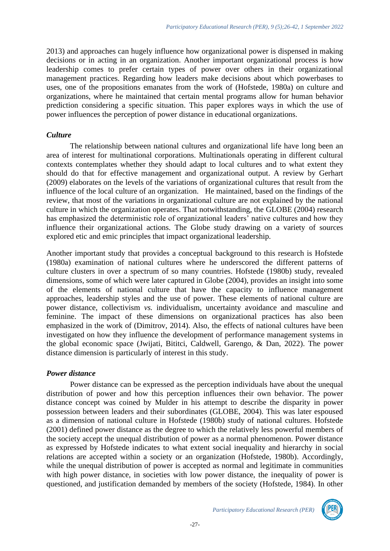2013) and approaches can hugely influence how organizational power is dispensed in making decisions or in acting in an organization. Another important organizational process is how leadership comes to prefer certain types of power over others in their organizational management practices. Regarding how leaders make decisions about which powerbases to uses, one of the propositions emanates from the work of (Hofstede, 1980a) on culture and organizations, where he maintained that certain mental programs allow for human behavior prediction considering a specific situation. This paper explores ways in which the use of power influences the perception of power distance in educational organizations.

### *Culture*

The relationship between national cultures and organizational life have long been an area of interest for multinational corporations. Multinationals operating in different cultural contexts contemplates whether they should adapt to local cultures and to what extent they should do that for effective management and organizational output. A review by Gerhart (2009) elaborates on the levels of the variations of organizational cultures that result from the influence of the local culture of an organization. He maintained, based on the findings of the review, that most of the variations in organizational culture are not explained by the national culture in which the organization operates. That notwithstanding, the GLOBE (2004) research has emphasized the deterministic role of organizational leaders' native cultures and how they influence their organizational actions. The Globe study drawing on a variety of sources explored etic and emic principles that impact organizational leadership.

Another important study that provides a conceptual background to this research is Hofstede (1980a) examination of national cultures where he underscored the different patterns of culture clusters in over a spectrum of so many countries. Hofstede (1980b) study, revealed dimensions, some of which were later captured in Globe (2004), provides an insight into some of the elements of national culture that have the capacity to influence management approaches, leadership styles and the use of power. These elements of national culture are power distance, collectivism *vs.* individualism, uncertainty avoidance and masculine and feminine. The impact of these dimensions on organizational practices has also been emphasized in the work of (Dimitrov, 2014). Also, the effects of national cultures have been investigated on how they influence the development of performance management systems in the global economic space (Jwijati, Bititci, Caldwell, Garengo, & Dan, 2022). The power distance dimension is particularly of interest in this study.

# *Power distance*

Power distance can be expressed as the perception individuals have about the unequal distribution of power and how this perception influences their own behavior. The power distance concept was coined by Mulder in his attempt to describe the disparity in power possession between leaders and their subordinates (GLOBE, 2004). This was later espoused as a dimension of national culture in Hofstede (1980b) study of national cultures. Hofstede (2001) defined power distance as the degree to which the relatively less powerful members of the society accept the unequal distribution of power as a normal phenomenon. Power distance as expressed by Hofstede indicates to what extent social inequality and hierarchy in social relations are accepted within a society or an organization (Hofstede, 1980b). Accordingly, while the unequal distribution of power is accepted as normal and legitimate in communities with high power distance, in societies with low power distance, the inequality of power is questioned, and justification demanded by members of the society (Hofstede, 1984). In other

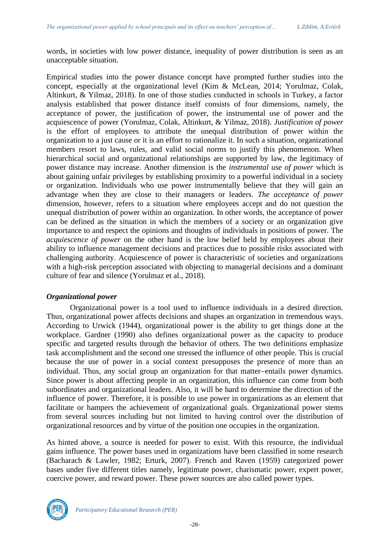words, in societies with low power distance, inequality of power distribution is seen as an unacceptable situation.

Empirical studies into the power distance concept have prompted further studies into the concept, especially at the organizational level (Kim & McLean, 2014; Yorulmaz, Colak, Altinkurt, & Yilmaz, 2018). In one of those studies conducted in schools in Turkey, a factor analysis established that power distance itself consists of four dimensions, namely, the acceptance of power, the justification of power, the instrumental use of power and the acquiescence of power (Yorulmaz, Colak, Altinkurt, & Yilmaz, 2018). *Justification of power* is the effort of employees to attribute the unequal distribution of power within the organization to a just cause or it is an effort to rationalize it. In such a situation, organizational members resort to laws, rules, and valid social norms to justify this phenomenon. When hierarchical social and organizational relationships are supported by law, the legitimacy of power distance may increase. Another dimension is the *instrumental use of power* which is about gaining unfair privileges by establishing proximity to a powerful individual in a society or organization. Individuals who use power instrumentally believe that they will gain an advantage when they are close to their managers or leaders. *The acceptance of power* dimension, however, refers to a situation where employees accept and do not question the unequal distribution of power within an organization. In other words, the acceptance of power can be defined as the situation in which the members of a society or an organization give importance to and respect the opinions and thoughts of individuals in positions of power. The *acquiescence of power* on the other hand is the low belief held by employees about their ability to influence management decisions and practices due to possible risks associated with challenging authority. Acquiescence of power is characteristic of societies and organizations with a high-risk perception associated with objecting to managerial decisions and a dominant culture of fear and silence (Yorulmaz et al., 2018).

# *Organizational power*

Organizational power is a tool used to influence individuals in a desired direction. Thus, organizational power affects decisions and shapes an organization in tremendous ways. According to Urwick (1944), organizational power is the ability to get things done at the workplace. Gardner (1990) also defines organizational power as the capacity to produce specific and targeted results through the behavior of others. The two definitions emphasize task accomplishment and the second one stressed the influence of other people. This is crucial because the use of power in a social context presupposes the presence of more than an individual. Thus, any social group an organization for that matter−entails power dynamics. Since power is about affecting people in an organization, this influence can come from both subordinates and organizational leaders. Also, it will be hard to determine the direction of the influence of power. Therefore, it is possible to use power in organizations as an element that facilitate or hampers the achievement of organizational goals. Organizational power stems from several sources including but not limited to having control over the distribution of organizational resources and by virtue of the position one occupies in the organization.

As hinted above, a source is needed for power to exist. With this resource, the individual gains influence. The power bases used in organizations have been classified in some research (Bacharach & Lawler, 1982; Erturk, 2007). French and Raven (1959) categorized power bases under five different titles namely, legitimate power, charismatic power, expert power, coercive power, and reward power. These power sources are also called power types.

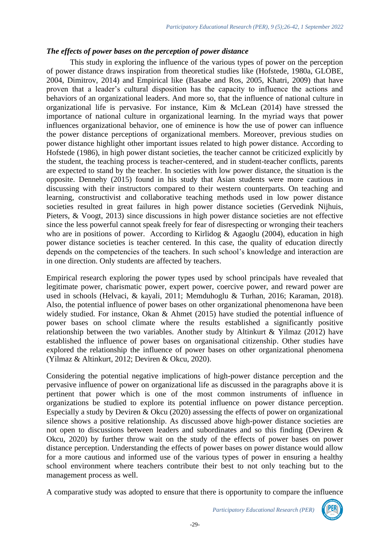### *The effects of power bases on the perception of power distance*

This study in exploring the influence of the various types of power on the perception of power distance draws inspiration from theoretical studies like (Hofstede, 1980a, GLOBE, 2004, Dimitrov, 2014) and Empirical like (Basabe and Ros, 2005, Khatri, 2009) that have proven that a leader's cultural disposition has the capacity to influence the actions and behaviors of an organizational leaders. And more so, that the influence of national culture in organizational life is pervasive. For instance, Kim & McLean (2014) have stressed the importance of national culture in organizational learning. In the myriad ways that power influences organizational behavior, one of eminence is how the use of power can influence the power distance perceptions of organizational members. Moreover, previous studies on power distance highlight other important issues related to high power distance. According to Hofstede (1986), in high power distant societies, the teacher cannot be criticized explicitly by the student, the teaching process is teacher-centered, and in student-teacher conflicts, parents are expected to stand by the teacher. In societies with low power distance, the situation is the opposite. Dennehy (2015) found in his study that Asian students were more cautious in discussing with their instructors compared to their western counterparts. On teaching and learning, constructivist and collaborative teaching methods used in low power distance societies resulted in great failures in high power distance societies (Gervedink Nijhuis, Pieters, & Voogt, 2013) since discussions in high power distance societies are not effective since the less powerful cannot speak freely for fear of disrespecting or wronging their teachers who are in positions of power. According to Kirlidog & Agaoglu (2004), education in high power distance societies is teacher centered. In this case, the quality of education directly depends on the competencies of the teachers. In such school's knowledge and interaction are in one direction. Only students are affected by teachers.

Empirical research exploring the power types used by school principals have revealed that legitimate power, charismatic power, expert power, coercive power, and reward power are used in schools (Helvaci, & kayali, 2011; Memduhoglu & Turhan, 2016; Karaman, 2018). Also, the potential influence of power bases on other organizational phenomenona have been widely studied. For instance, Okan & Ahmet (2015) have studied the potential influence of power bases on school climate where the results established a significantly positive relationship between the two variables. Another study by Altinkurt & Yilmaz (2012) have established the influence of power bases on organisational citizenship. Other studies have explored the relationship the influence of power bases on other organizational phenomena (Yilmaz & Altinkurt, 2012; Deviren & Okcu, 2020).

Considering the potential negative implications of high-power distance perception and the pervasive influence of power on organizational life as discussed in the paragraphs above it is pertinent that power which is one of the most common instruments of influence in organizations be studied to explore its potential influence on power distance perception. Especially a study by Deviren  $\&$  Okcu (2020) assessing the effects of power on organizational silence shows a positive relationship. As discussed above high-power distance societies are not open to discussions between leaders and subordinates and so this finding (Deviren & Okcu, 2020) by further throw wait on the study of the effects of power bases on power distance perception. Understanding the effects of power bases on power distance would allow for a more cautious and informed use of the various types of power in ensuring a healthy school environment where teachers contribute their best to not only teaching but to the management process as well.

A comparative study was adopted to ensure that there is opportunity to compare the influence

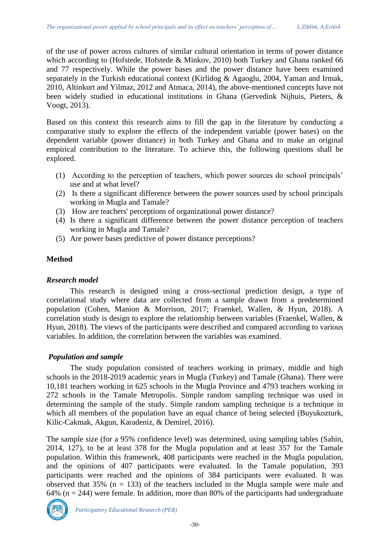of the use of power across cultures of similar cultural orientation in terms of power distance which according to (Hofstede, Hofstede & Minkov, 2010) both Turkey and Ghana ranked 66 and 77 respectively. While the power bases and the power distance have been examined separately in the Turkish educational context (Kirlidog & Agaoglu, 2004, Yaman and Irmak, 2010, Altinkurt and Yilmaz, 2012 and Atmaca, 2014), the above-mentioned concepts have not been widely studied in educational institutions in Ghana (Gervedink Nijhuis, Pieters, & Voogt, 2013).

Based on this context this research aims to fill the gap in the literature by conducting a comparative study to explore the effects of the independent variable (power bases) on the dependent variable (power distance) in both Turkey and Ghana and to make an original empirical contribution to the literature. To achieve this, the following questions shall be explored.

- (1) According to the perception of teachers, which power sources do school principals' use and at what level?
- (2) Is there a significant difference between the power sources used by school principals working in Mugla and Tamale?
- (3) How are teachers' perceptions of organizational power distance?
- (4) Is there a significant difference between the power distance perception of teachers working in Mugla and Tamale?
- (5) Are power bases predictive of power distance perceptions?

### **Method**

### *Research model*

This research is designed using a cross-sectional prediction design, a type of correlational study where data are collected from a sample drawn from a predetermined population (Cohen, Manion & Morrison, 2017; Fraenkel, Wallen, & Hyun, 2018). A correlation study is design to explore the relationship between variables (Fraenkel, Wallen, & Hyun, 2018). The views of the participants were described and compared according to various variables. In addition, the correlation between the variables was examined.

# *Population and sample*

The study population consisted of teachers working in primary, middle and high schools in the 2018-2019 academic years in Mugla (Turkey) and Tamale (Ghana). There were 10,181 teachers working in 625 schools in the Mugla Province and 4793 teachers working in 272 schools in the Tamale Metropolis. Simple random sampling technique was used in determining the sample of the study. Simple random sampling technique is a technique in which all members of the population have an equal chance of being selected (Buyukozturk, Kilic-Cakmak, Akgun, Karadeniz, & Demirel, 2016).

The sample size (for a 95% confidence level) was determined, using sampling tables (Sahin, 2014, 127), to be at least 378 for the Mugla population and at least 357 for the Tamale population. Within this framework, 408 participants were reached in the Mugla population, and the opinions of 407 participants were evaluated. In the Tamale population, 393 participants were reached and the opinions of 384 participants were evaluated. It was observed that  $35\%$  (n = 133) of the teachers included in the Mugla sample were male and 64% ( $n = 244$ ) were female. In addition, more than 80% of the participants had undergraduate

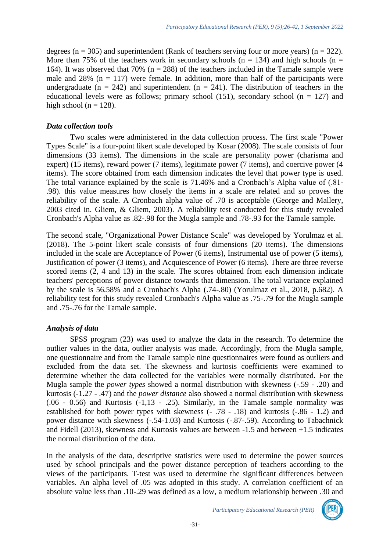degrees ( $n = 305$ ) and superintendent (Rank of teachers serving four or more years) ( $n = 322$ ). More than 75% of the teachers work in secondary schools ( $n = 134$ ) and high schools ( $n =$ 164). It was observed that 70% ( $n = 288$ ) of the teachers included in the Tamale sample were male and  $28\%$  (n = 117) were female. In addition, more than half of the participants were undergraduate ( $n = 242$ ) and superintendent ( $n = 241$ ). The distribution of teachers in the educational levels were as follows; primary school (151), secondary school ( $n = 127$ ) and high school ( $n = 128$ ).

### *Data collection tools*

Two scales were administered in the data collection process. The first scale "Power Types Scale" is a four-point likert scale developed by Kosar (2008). The scale consists of four dimensions (33 items). The dimensions in the scale are personality power (charisma and expert) (15 items), reward power (7 items), legitimate power (7 items), and coercive power (4 items). The score obtained from each dimension indicates the level that power type is used. The total variance explained by the scale is 71.46% and a Cronbach's Alpha value of (.81- .98). this value measures how closely the items in a scale are related and so proves the reliability of the scale. A Cronbach alpha value of .70 is acceptable (George and Mallery, 2003 cited in. Gliem, & Gliem, 2003). A reliability test conducted for this study revealed Cronbach's Alpha value as .82-.98 for the Mugla sample and .78-.93 for the Tamale sample.

The second scale, "Organizational Power Distance Scale" was developed by Yorulmaz et al. (2018). The 5-point likert scale consists of four dimensions (20 items). The dimensions included in the scale are Acceptance of Power (6 items), Instrumental use of power (5 items), Justification of power (3 items), and Acquiescence of Power (6 items). There are three reverse scored items (2, 4 and 13) in the scale. The scores obtained from each dimension indicate teachers' perceptions of power distance towards that dimension. The total variance explained by the scale is 56.58% and a Cronbach's Alpha (.74-.80) (Yorulmaz et al., 2018, p.682). A reliability test for this study revealed Cronbach's Alpha value as .75-.79 for the Mugla sample and .75-.76 for the Tamale sample.

# *Analysis of data*

SPSS program (23) was used to analyze the data in the research. To determine the outlier values in the data, outlier analysis was made. Accordingly, from the Mugla sample, one questionnaire and from the Tamale sample nine questionnaires were found as outliers and excluded from the data set. The skewness and kurtosis coefficients were examined to determine whether the data collected for the variables were normally distributed. For the Mugla sample the *power types* showed a normal distribution with skewness (-.59 - .20) and kurtosis (-1.27 - .47) and the *power distance* also showed a normal distribution with skewness (.06 - 0.56) and Kurtosis (-1,13 - .25). Similarly, in the Tamale sample normality was established for both power types with skewness (- .78 - .18) and kurtosis (-.86 - 1.2) and power distance with skewness (-.54-1.03) and Kurtosis (-.87-.59). According to Tabachnick and Fidell (2013), skewness and Kurtosis values are between -1.5 and between +1.5 indicates the normal distribution of the data.

In the analysis of the data, descriptive statistics were used to determine the power sources used by school principals and the power distance perception of teachers according to the views of the participants. T-test was used to determine the significant differences between variables. An alpha level of .05 was adopted in this study. A correlation coefficient of an absolute value less than .10-.29 was defined as a low, a medium relationship between .30 and

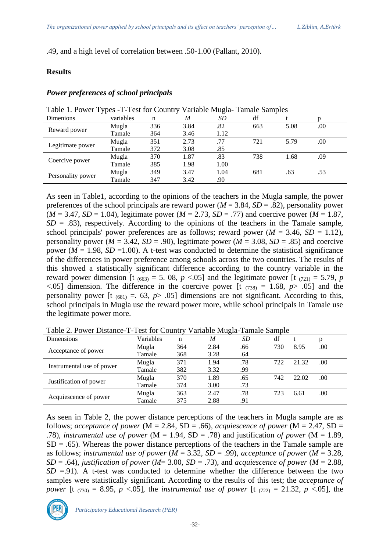.49, and a high level of correlation between .50-1.00 (Pallant, 2010).

#### **Results**

#### *Power preferences of school principals*

| Table 1. Power Types - T-Test for Country Variable Mugla-Tamale Samples |           |     |      |      |     |      |     |  |
|-------------------------------------------------------------------------|-----------|-----|------|------|-----|------|-----|--|
| Dimenions                                                               | variables | n   | M    | SD   | df  |      |     |  |
| Reward power                                                            | Mugla     | 336 | 3.84 | .82  | 663 | 5.08 | .00 |  |
|                                                                         | Tamale    | 364 | 3.46 | 1.12 |     |      |     |  |
| Legitimate power                                                        | Mugla     | 351 | 2.73 | .77  | 721 | 5.79 | .00 |  |
|                                                                         | Tamale    | 372 | 3.08 | .85  |     |      |     |  |
| Coercive power                                                          | Mugla     | 370 | 1.87 | .83  | 738 | 1.68 | .09 |  |
|                                                                         | Tamale    | 385 | 1.98 | 1.00 |     |      |     |  |
|                                                                         | Mugla     | 349 | 3.47 | 1.04 | 681 | .63  | .53 |  |
| Personality power                                                       | Tamale    | 347 | 3.42 | .90  |     |      |     |  |

As seen in Table1, according to the opinions of the teachers in the Mugla sample, the power preferences of the school principals are reward power ( $M = 3.84$ ,  $SD = .82$ ), personality power  $(M = 3.47, SD = 1.04)$ , legitimate power  $(M = 2.73, SD = .77)$  and coercive power  $(M = 1.87,$  $SD = .83$ ), respectively. According to the opinions of the teachers in the Tamale sample, school principals' power preferences are as follows; reward power ( $M = 3.46$ ,  $SD = 1.12$ ), personality power ( $M = 3.42$ ,  $SD = .90$ ), legitimate power ( $M = 3.08$ ,  $SD = .85$ ) and coercive power ( $M = 1.98$ ,  $SD = 1.00$ ). A t-test was conducted to determine the statistical significance of the differences in power preference among schools across the two countries. The results of this showed a statistically significant difference according to the country variable in the reward power dimension [t  $(663) = 5$ . 08,  $p < 0.05$ ] and the legitimate power [t  $(721) = 5.79$ ,  $p$  $\leq$ .05] dimension. The difference in the coercive power [t (738) = 1.68, *p*> .05] and the personality power [t  $(681) = .63$ ,  $p > .05$ ] dimensions are not significant. According to this, school principals in Mugla use the reward power more, while school principals in Tamale use the legitimate power more.

| Dimensions                | Variables | n   | M    | SD  | df  |       |     |
|---------------------------|-----------|-----|------|-----|-----|-------|-----|
|                           | Mugla     | 364 | 2.84 | .66 | 730 | 8.95  | .00 |
| Acceptance of power       | Tamale    | 368 | 3.28 | .64 |     |       |     |
|                           | Mugla     | 371 | 1.94 | .78 | 722 | 21.32 | .00 |
| Instrumental use of power | Tamale    | 382 | 3.32 | .99 |     |       |     |
|                           | Mugla     | 370 | 1.89 | .65 | 742 | 22.02 | .00 |
| Justification of power    | Tamale    | 374 | 3.00 | .73 |     |       |     |
|                           | Mugla     | 363 | 2.47 | .78 | 723 | 6.61  | .00 |
| Acquiescence of power     | Tamale    | 375 | 2.88 | .91 |     |       |     |

Table 2. Power Distance-T-Test for Country Variable Mugla-Tamale Sample

As seen in Table 2, the power distance perceptions of the teachers in Mugla sample are as follows; *acceptance of power* ( $M = 2.84$ ,  $SD = .66$ ), *acquiescence of power* ( $M = 2.47$ ,  $SD =$ .78), *instrumental use of power* (M = 1.94, SD = .78) and justification *of power* (M = 1.89,  $SD = .65$ ). Whereas the power distance perceptions of the teachers in the Tamale sample are as follows; *instrumental use of power* (*M* = 3.32, *SD* = .99), *acceptance of power* (*M* = 3.28, *SD* = .64), *justification of power* (*M* = 3.00, *SD* = .73), and *acquiescence of power* (*M* = 2.88,  $SD = .91$ ). A t-test was conducted to determine whether the difference between the two samples were statistically significant. According to the results of this test; the *acceptance of power* [t (730) = 8.95, *p* <.05], the *instrumental use of power* [t (722) = 21.32, *p* <.05], the

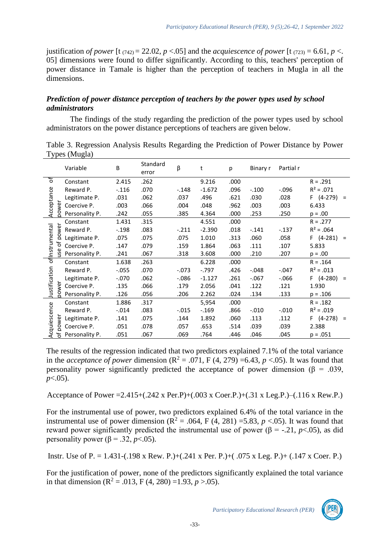justification *of power* [t ( $742$ ) = 22.02, *p* <.05] and the *acquiescence of power* [t ( $723$ ) = 6.61, *p* <. 05] dimensions were found to differ significantly. According to this, teachers' perception of power distance in Tamale is higher than the perception of teachers in Mugla in all the dimensions.

# *Prediction of power distance perception of teachers by the power types used by school administrators*

The findings of the study regarding the prediction of the power types used by school administrators on the power distance perceptions of teachers are given below.

|                                | Variable       | В        | Standard<br>error | β        | t        | р    | Binary r | Partial r |                        |
|--------------------------------|----------------|----------|-------------------|----------|----------|------|----------|-----------|------------------------|
| đ                              | Constant       | 2.415    | .262              |          | 9.216    | .000 |          |           | $R = .291$             |
|                                | Reward P.      | $-.116$  | .070              | $-.148$  | $-1.672$ | .096 | $-.100$  | $-0.096$  | $R^2 = .071$           |
| Acceptance                     | Legitimate P.  | .031     | .062              | .037     | .496     | .621 | .030     | .028      | $F(4-279)$<br>$\equiv$ |
| wer                            | Coercive P.    | .003     | .066              | .004     | .048     | .962 | .003     | .003      | 6.433                  |
| 8                              | Personality P. | .242     | .055              | .385     | 4.364    | .000 | .253     | .250      | $p = .00$              |
|                                | Constant       | 1.431    | .315              |          | 4.551    | .000 |          |           | $R = .277$             |
| power<br>nstrumental<br>đ<br>š | Reward P.      | $-.198$  | .083              | $-.211$  | $-2.390$ | .018 | $-.141$  | $-137$    | $R^2 = .064$           |
|                                | Legitimate P.  | .075     | .075              | .075     | 1.010    | .313 | .060     | .058      | $F(4-281)$<br>$\equiv$ |
|                                | Coercive P.    | .147     | .079              | .159     | 1.864    | .063 | .111     | .107      | 5.833                  |
|                                | Personality P. | .241     | .067              | .318     | 3.608    | .000 | .210     | .207      | $p = .00$              |
| 퉁                              | Constant       | 1.638    | .263              |          | 6.228    | .000 |          |           | $R = .164$             |
|                                | Reward P.      | $-0.055$ | .070              | $-073$   | $-0.797$ | .426 | $-.048$  | $-.047$   | $R^2 = .013$           |
| Justification<br>9<br>Ö.       | Legitimate P.  | $-.070$  | .062              | $-0.086$ | $-1.127$ | .261 | $-.067$  | $-0.066$  | $F(4-280)$<br>$\equiv$ |
|                                | Coercive P.    | .135     | .066              | .179     | 2.056    | .041 | .122     | .121      | 1.930                  |
|                                | Personality P. | .126     | .056              | .206     | 2.262    | .024 | .134     | .133      | $p = .106$             |
|                                | Constant       | 1.886    | .317              |          | 5,954    | .000 |          |           | $R = .182$             |
| Acquiescence<br>power          | Reward P.      | $-0.014$ | .083              | $-0.015$ | $-169$   | .866 | $-.010$  | $-.010$   | $R^2 = .019$           |
|                                | Legitimate P.  | .141     | .075              | .144     | 1.892    | .060 | .113     | .112      | $F(4-278)$<br>$\equiv$ |
|                                | Coercive P.    | .051     | .078              | .057     | .653     | .514 | .039     | .039      | 2.388                  |
| Ⴆ                              | Personality P. | .051     | .067              | .069     | .764     | .446 | .046     | .045      | $p = .051$             |

Table 3. Regression Analysis Results Regarding the Prediction of Power Distance by Power Types (Mugla)

The results of the regression indicated that two predictors explained 7.1% of the total variance in the *acceptance of power* dimension  $(R^2 = .071, F(4, 279) = 6.43, p < .05)$ . It was found that personality power significantly predicted the acceptance of power dimension ( $\beta$  = .039, *p*<.05).

Acceptance of Power =2.415+(.242 x Per.P)+(.003 x Coer.P.)+(.31 x Leg.P.)–(.116 x Rew.P.)

For the instrumental use of power, two predictors explained 6.4% of the total variance in the instrumental use of power dimension  $(R^2 = .064, F(4, 281) = 5.83, p < .05)$ . It was found that reward power significantly predicted the instrumental use of power (β = -.21, *p*<.05), as did personality power ( $\beta$  = .32, *p*<.05).

Instr. Use of P. = 1.431-(.198 x Rew. P.)+(.241 x Per. P.)+( .075 x Leg. P.)+ (.147 x Coer. P.)

For the justification of power, none of the predictors significantly explained the total variance in that dimension ( $\mathbb{R}^2$  = .013, F (4, 280) =1.93, *p* >.05).

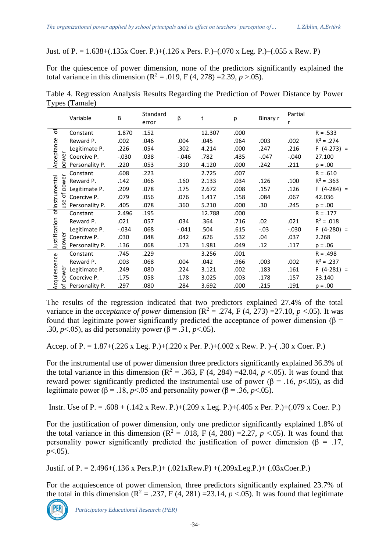Just. of P. = 1.638+(.135x Coer. P.)+(.126 x Pers. P.)–(.070 x Leg. P.)–(.055 x Rew. P)

For the quiescence of power dimension, none of the predictors significantly explained the total variance in this dimension ( $R^2 = .019$ , F (4, 278) = 2.39, *p* > 0.05).

|                                       | Variable         | B       | Standard<br>error | β        | t      | p    | Binary r | Partial<br>r |              |
|---------------------------------------|------------------|---------|-------------------|----------|--------|------|----------|--------------|--------------|
| ৳                                     | Constant         | 1.870   | .152              |          | 12.307 | .000 |          |              | $R = .533$   |
|                                       | Reward P.        | .002    | .046              | .004     | .045   | .964 | .003     | .002         | $R^2 = .274$ |
|                                       | Legitimate P.    | .226    | .054              | .302     | 4.214  | .000 | .247     | .216         | $F(4-273) =$ |
| Acceptance<br>power                   | Coercive P.      | $-.030$ | .038              | $-0.046$ | .782   | .435 | $-.047$  | $-.040$      | 27.100       |
|                                       | Personality P.   | .220    | .053              | .310     | 4.120  | .000 | .242     | .211         | $p = .00$    |
|                                       | Constant         | .608    | .223              |          | 2.725  | .007 |          |              | $R = .610$   |
|                                       | Reward P.        | .142    | .066              | .160     | 2.133  | .034 | .126     | .100         | $R^2 = .363$ |
| ofinstrumental<br>power<br>e of<br>йĽ | Legitimate P.    | .209    | .078              | .175     | 2.672  | .008 | .157     | .126         | $F(4-284) =$ |
|                                       | Coercive P.      | .079    | .056              | .076     | 1.417  | .158 | .084     | .067         | 42.036       |
|                                       | Personality P.   | .405    | .078              | .360     | 5.210  | .000 | .30      | .245         | $p = .00$    |
|                                       | Constant         | 2.496   | .195              |          | 12.788 | .000 |          |              | $R = .177$   |
|                                       | Reward P.        | .021    | .057              | .034     | .364   | .716 | .02      | .021         | $R^2 = .018$ |
|                                       | Legitimate P.    | $-.034$ | .068              | $-.041$  | .504   | .615 | $-.03$   | $-0.030$     | $F(4-280) =$ |
| Justification<br>power                | Coercive P.      | .030    | .048              | .042     | .626   | .532 | .04      | .037         | 2.268        |
|                                       | Personality P.   | .136    | .068              | .173     | 1.981  | .049 | .12      | .117         | $p = .06$    |
| Acquiescence<br>power                 | Constant         | .745    | .229              |          | 3.256  | .001 |          |              | $R = .498$   |
|                                       | Reward P.        | .003    | .068              | .004     | .042   | .966 | .003     | .002         | $R^2 = .237$ |
|                                       | Legitimate P.    | .249    | .080              | .224     | 3.121  | .002 | .183     | .161         | $F(4-281) =$ |
|                                       | Coercive P.      | .175    | .058              | .178     | 3.025  | .003 | .178     | .157         | 23.140       |
|                                       | も Personality P. | .297    | .080              | .284     | 3.692  | .000 | .215     | .191         | $p = .00$    |

Table 4. Regression Analysis Results Regarding the Prediction of Power Distance by Power Types (Tamale)

The results of the regression indicated that two predictors explained 27.4% of the total variance in the *acceptance of power* dimension ( $R^2 = .274$ , F (4, 273) = 27.10, *p* <.05). It was found that legitimate power significantly predicted the acceptance of power dimension ( $\beta$  = .30, *p*<.05), as did personality power ( $\beta$  = .31, *p*<.05).

Accep. of P. = 1.87+(.226 x Leg. P.)+(.220 x Per. P.)+(.002 x Rew. P. )–( .30 x Coer. P.)

For the instrumental use of power dimension three predictors significantly explained 36.3% of the total variance in this dimension  $(R^2 = .363, F(4, 284) = 42.04, p < .05)$ . It was found that reward power significantly predicted the instrumental use of power (β = .16, *p*<.05), as did legitimate power ( $\beta$  = .18, *p*<.05 and personality power ( $\beta$  = .36, *p*<.05).

Instr. Use of P. = .608 + (.142 x Rew. P.)+(.209 x Leg. P.)+(.405 x Per. P.)+(.079 x Coer. P.)

For the justification of power dimension, only one predictor significantly explained 1.8% of the total variance in this dimension  $(R^2 = .018, F (4, 280) = 2.27, p < .05)$ . It was found that personality power significantly predicted the justification of power dimension ( $\beta = .17$ , *p*<.05).

Justif. of P. = 2.496+(.136 x Pers.P.)+ (.021xRew.P) +(.209xLeg.P.)+ (.03xCoer.P.)

For the acquiescence of power dimension, three predictors significantly explained 23.7% of the total in this dimension  $(R^2 = .237, F(4, 281) = 23.14, p < .05)$ . It was found that legitimate

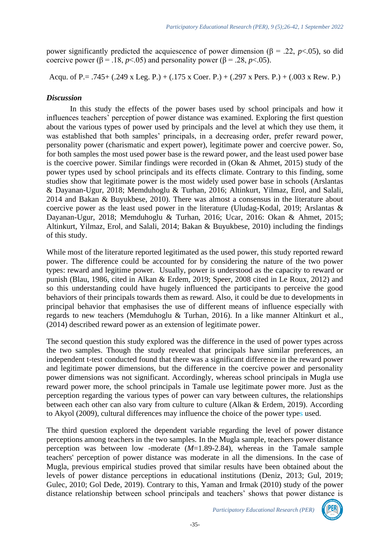power significantly predicted the acquiescence of power dimension (β = .22, *p*<.05), so did coercive power ( $\beta$  = .18, *p*<.05) and personality power ( $\beta$  = .28, *p*<.05).

Acqu. of P.= .745+ (.249 x Leg. P.) + (.175 x Coer. P.) + (.297 x Pers. P.) + (.003 x Rew. P.)

# *Discussion*

In this study the effects of the power bases used by school principals and how it influences teachers' perception of power distance was examined. Exploring the first question about the various types of power used by principals and the level at which they use them, it was established that both samples' principals, in a decreasing order, prefer reward power, personality power (charismatic and expert power), legitimate power and coercive power. So, for both samples the most used power base is the reward power, and the least used power base is the coercive power. Similar findings were recorded in (Okan & Ahmet, 2015) study of the power types used by school principals and its effects climate. Contrary to this finding, some studies show that legitimate power is the most widely used power base in schools (Arslantas & Dayanan-Ugur, 2018; Memduhoglu & Turhan, 2016; Altinkurt, Yilmaz, Erol, and Salali, 2014 and Bakan & Buyukbese, 2010). There was almost a consensus in the literature about coercive power as the least used power in the literature (Uludag-Kodal, 2019; Arslantas & Dayanan-Ugur, 2018; Memduhoglu & Turhan, 2016; Ucar, 2016: Okan & Ahmet, 2015; Altinkurt, Yilmaz, Erol, and Salali, 2014; Bakan & Buyukbese, 2010) including the findings of this study.

While most of the literature reported legitimated as the used power, this study reported reward power. The difference could be accounted for by considering the nature of the two power types: reward and legitime power. Usually, power is understood as the capacity to reward or punish (Blau, 1986, cited in Alkan & Erdem, 2019; Speer, 2008 cited in Le Roux, 2012) and so this understanding could have hugely influenced the participants to perceive the good behaviors of their principals towards them as reward. Also, it could be due to developments in principal behavior that emphasises the use of different means of influence especially with regards to new teachers (Memduhoglu & Turhan, 2016). In a like manner Altinkurt et al., (2014) described reward power as an extension of legitimate power.

The second question this study explored was the difference in the used of power types across the two samples. Though the study revealed that principals have similar preferences, an independent t-test conducted found that there was a significant difference in the reward power and legitimate power dimensions, but the difference in the coercive power and personality power dimensions was not significant. Accordingly, whereas school principals in Mugla use reward power more, the school principals in Tamale use legitimate power more. Just as the perception regarding the various types of power can vary between cultures, the relationships between each other can also vary from culture to culture (Alkan & Erdem, 2019). According to Akyol (2009), cultural differences may influence the choice of the power types used.

The third question explored the dependent variable regarding the level of power distance perceptions among teachers in the two samples. In the Mugla sample, teachers power distance perception was between low -moderate (*M*=1.89-2.84), whereas in the Tamale sample teachers' perception of power distance was moderate in all the dimensions. In the case of Mugla, previous empirical studies proved that similar results have been obtained about the levels of power distance perceptions in educational institutions (Deniz, 2013; Gul, 2019; Gulec, 2010; Gol Dede, 2019). Contrary to this, Yaman and Irmak (2010) study of the power distance relationship between school principals and teachers' shows that power distance is

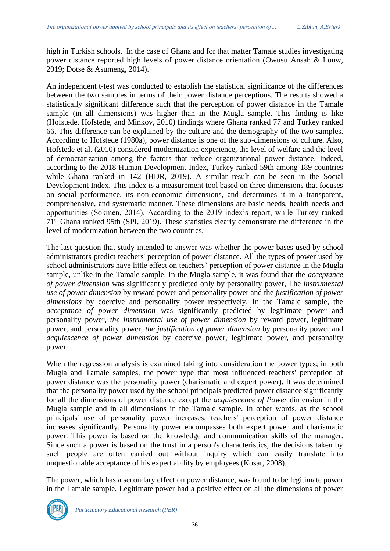high in Turkish schools. In the case of Ghana and for that matter Tamale studies investigating power distance reported high levels of power distance orientation (Owusu Ansah & Louw, 2019; Dotse & Asumeng, 2014).

An independent t-test was conducted to establish the statistical significance of the differences between the two samples in terms of their power distance perceptions. The results showed a statistically significant difference such that the perception of power distance in the Tamale sample (in all dimensions) was higher than in the Mugla sample. This finding is like (Hofstede, Hofstede, and Minkov, 2010) findings where Ghana ranked 77 and Turkey ranked 66. This difference can be explained by the culture and the demography of the two samples. According to Hofstede (1980a), power distance is one of the sub-dimensions of culture. Also, Hofstede et al. (2010) considered modernization experience, the level of welfare and the level of democratization among the factors that reduce organizational power distance. Indeed, according to the 2018 Human Development Index, Turkey ranked 59th among 189 countries while Ghana ranked in 142 (HDR, 2019). A similar result can be seen in the Social Development Index. This index is a measurement tool based on three dimensions that focuses on social performance, its non-economic dimensions, and determines it in a transparent, comprehensive, and systematic manner. These dimensions are basic needs, health needs and opportunities (Sokmen, 2014). According to the 2019 index's report, while Turkey ranked 71st Ghana ranked 95th (SPI, 2019). These statistics clearly demonstrate the difference in the level of modernization between the two countries.

The last question that study intended to answer was whether the power bases used by school administrators predict teachers' perception of power distance. All the types of power used by school administrators have little effect on teachers' perception of power distance in the Mugla sample, unlike in the Tamale sample. In the Mugla sample, it was found that the *acceptance of power dimension* was significantly predicted only by personality power, The *instrumental use of power dimension* by reward power and personality power and the *justification of power dimensions* by coercive and personality power respectively. In the Tamale sample, the *acceptance of power dimension* was significantly predicted by legitimate power and personality power, *the instrumental use of power dimension* by reward power, legitimate power, and personality power, *the justification of power dimension* by personality power and *acquiescence of power dimension* by coercive power, legitimate power, and personality power.

When the regression analysis is examined taking into consideration the power types; in both Mugla and Tamale samples, the power type that most influenced teachers' perception of power distance was the personality power (charismatic and expert power). It was determined that the personality power used by the school principals predicted power distance significantly for all the dimensions of power distance except the *acquiescence of Power* dimension in the Mugla sample and in all dimensions in the Tamale sample. In other words, as the school principals' use of personality power increases, teachers' perception of power distance increases significantly. Personality power encompasses both expert power and charismatic power. This power is based on the knowledge and communication skills of the manager. Since such a power is based on the trust in a person's characteristics, the decisions taken by such people are often carried out without inquiry which can easily translate into unquestionable acceptance of his expert ability by employees (Kosar, 2008).

The power, which has a secondary effect on power distance, was found to be legitimate power in the Tamale sample. Legitimate power had a positive effect on all the dimensions of power

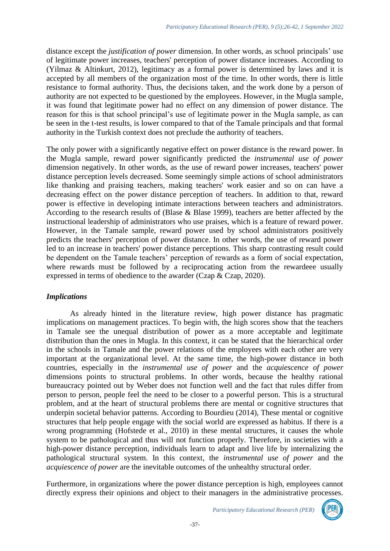distance except the *justification of power* dimension. In other words, as school principals' use of legitimate power increases, teachers' perception of power distance increases. According to (Yilmaz & Altinkurt, 2012), legitimacy as a formal power is determined by laws and it is accepted by all members of the organization most of the time. In other words, there is little resistance to formal authority. Thus, the decisions taken, and the work done by a person of authority are not expected to be questioned by the employees. However, in the Mugla sample, it was found that legitimate power had no effect on any dimension of power distance. The reason for this is that school principal's use of legitimate power in the Mugla sample, as can be seen in the t-test results, is lower compared to that of the Tamale principals and that formal authority in the Turkish context does not preclude the authority of teachers.

The only power with a significantly negative effect on power distance is the reward power. In the Mugla sample, reward power significantly predicted the *instrumental use of power* dimension negatively. In other words, as the use of reward power increases, teachers' power distance perception levels decreased. Some seemingly simple actions of school administrators like thanking and praising teachers, making teachers' work easier and so on can have a decreasing effect on the power distance perception of teachers. In addition to that, reward power is effective in developing intimate interactions between teachers and administrators. According to the research results of (Blase & Blase 1999), teachers are better affected by the instructional leadership of administrators who use praises, which is a feature of reward power. However, in the Tamale sample, reward power used by school administrators positively predicts the teachers' perception of power distance. In other words, the use of reward power led to an increase in teachers' power distance perceptions. This sharp contrasting result could be dependent on the Tamale teachers' perception of rewards as a form of social expectation, where rewards must be followed by a reciprocating action from the rewardeee usually expressed in terms of obedience to the awarder (Czap & Czap, 2020).

# *Implications*

As already hinted in the literature review, high power distance has pragmatic implications on management practices. To begin with, the high scores show that the teachers in Tamale see the unequal distribution of power as a more acceptable and legitimate distribution than the ones in Mugla. In this context, it can be stated that the hierarchical order in the schools in Tamale and the power relations of the employees with each other are very important at the organizational level. At the same time, the high-power distance in both countries, especially in the *instrumental use of power* and the *acquiescence of power* dimensions points to structural problems. In other words, because the healthy rational bureaucracy pointed out by Weber does not function well and the fact that rules differ from person to person, people feel the need to be closer to a powerful person. This is a structural problem, and at the heart of structural problems there are mental or cognitive structures that underpin societal behavior patterns. According to Bourdieu (2014), These mental or cognitive structures that help people engage with the social world are expressed as habitus. If there is a wrong programming (Hofstede et al., 2010) in these mental structures, it causes the whole system to be pathological and thus will not function properly. Therefore, in societies with a high-power distance perception, individuals learn to adapt and live life by internalizing the pathological structural system. In this context, the *instrumental use of power* and the *acquiescence of power* are the inevitable outcomes of the unhealthy structural order.

Furthermore, in organizations where the power distance perception is high, employees cannot directly express their opinions and object to their managers in the administrative processes.

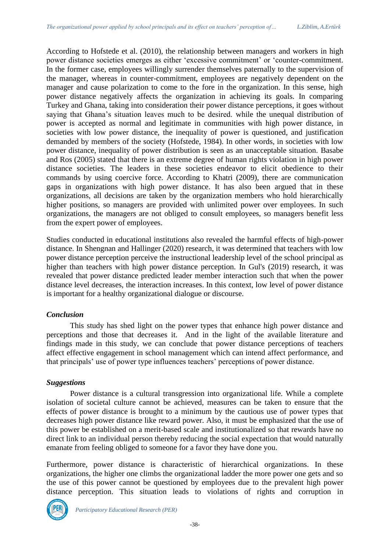According to Hofstede et al. (2010), the relationship between managers and workers in high power distance societies emerges as either 'excessive commitment' or 'counter-commitment. In the former case, employees willingly surrender themselves paternally to the supervision of the manager, whereas in counter-commitment, employees are negatively dependent on the manager and cause polarization to come to the fore in the organization. In this sense, high power distance negatively affects the organization in achieving its goals. In comparing Turkey and Ghana, taking into consideration their power distance perceptions, it goes without saying that Ghana's situation leaves much to be desired. while the unequal distribution of power is accepted as normal and legitimate in communities with high power distance, in societies with low power distance, the inequality of power is questioned, and justification demanded by members of the society (Hofstede, 1984). In other words, in societies with low power distance, inequality of power distribution is seen as an unacceptable situation. Basabe and Ros (2005) stated that there is an extreme degree of human rights violation in high power distance societies. The leaders in these societies endeavor to elicit obedience to their commands by using coercive force. According to Khatri (2009), there are communication gaps in organizations with high power distance. It has also been argued that in these organizations, all decisions are taken by the organization members who hold hierarchically higher positions, so managers are provided with unlimited power over employees. In such organizations, the managers are not obliged to consult employees, so managers benefit less from the expert power of employees.

Studies conducted in educational institutions also revealed the harmful effects of high-power distance. In Shengnan and Hallinger (2020) research, it was determined that teachers with low power distance perception perceive the instructional leadership level of the school principal as higher than teachers with high power distance perception. In Gul's (2019) research, it was revealed that power distance predicted leader member interaction such that when the power distance level decreases, the interaction increases. In this context, low level of power distance is important for a healthy organizational dialogue or discourse.

# *Conclusion*

This study has shed light on the power types that enhance high power distance and perceptions and those that decreases it. And in the light of the available literature and findings made in this study, we can conclude that power distance perceptions of teachers affect effective engagement in school management which can intend affect performance, and that principals' use of power type influences teachers' perceptions of power distance.

# *Suggestions*

Power distance is a cultural transgression into organizational life. While a complete isolation of societal culture cannot be achieved, measures can be taken to ensure that the effects of power distance is brought to a minimum by the cautious use of power types that decreases high power distance like reward power. Also, it must be emphasized that the use of this power be established on a merit-based scale and institutionalized so that rewards have no direct link to an individual person thereby reducing the social expectation that would naturally emanate from feeling obliged to someone for a favor they have done you.

Furthermore, power distance is characteristic of hierarchical organizations. In these organizations, the higher one climbs the organizational ladder the more power one gets and so the use of this power cannot be questioned by employees due to the prevalent high power distance perception. This situation leads to violations of rights and corruption in

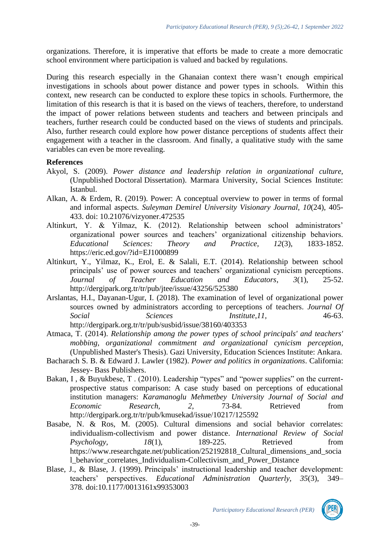organizations. Therefore, it is imperative that efforts be made to create a more democratic school environment where participation is valued and backed by regulations.

During this research especially in the Ghanaian context there wasn't enough empirical investigations in schools about power distance and power types in schools. Within this context, new research can be conducted to explore these topics in schools. Furthermore, the limitation of this research is that it is based on the views of teachers, therefore, to understand the impact of power relations between students and teachers and between principals and teachers, further research could be conducted based on the views of students and principals. Also, further research could explore how power distance perceptions of students affect their engagement with a teacher in the classroom. And finally, a qualitative study with the same variables can even be more revealing.

#### **References**

- Akyol, S. (2009). *Power distance and leadership relation in organizational culture,* (Unpublished Doctoral Dissertation). Marmara University, Social Sciences Institute: Istanbul.
- Alkan, A. & Erdem, R. (2019). Power: A conceptual overview to power in terms of formal and informal aspects. *Suleyman Demirel University Visionary Journal, 10*(24), 405- 433. doi: 10.21076/vizyoner.472535
- Altinkurt, Y. & Yilmaz, K. (2012). Relationship between school administrators' organizational power sources and teachers' organizational citizenship behaviors*. Educational Sciences: Theory and Practice, 12*(3), 1833-1852. https://eric.ed.gov/?id=EJ1000899
- Altinkurt, Y., Yilmaz, K., Erol, E. & Salali, E.T. (2014). Relationship between school principals' use of power sources and teachers' organizational cynicism perceptions. *Journal of Teacher Education and Educators*, *3*(1), 25-52. http://dergipark.org.tr/tr/pub/jtee/issue/43256/525380
- Arslantas, H.I., Dayanan-Ugur, I. (2018). The examination of level of organizational power sources owned by administrators according to perceptions of teachers. *Journal Of Social Sciences Institute*,*11,* 46-63. http://dergipark.org.tr/tr/pub/susbid/issue/38160/403353
- Atmaca, T. (2014). *Relationship among the power types of school principals' and teachers' mobbing, organizational commitment and organizational cynicism perception*, (Unpublished Master's Thesis). Gazi University, Education Sciences Institute: Ankara.
- Bacharach S. B. & Edward J. Lawler (1982). *Power and politics in organizations*. California: Jessey- Bass Publishers.
- Bakan, I, & Buyukbese, T. (2010). Leadership "types" and "power supplies" on the currentprospective status comparison: A case study based on perceptions of educational institution managers: *Karamanoglu Mehmetbey University Journal of Social and Economic Research, 2*, 73-84. Retrieved from <http://dergipark.org.tr/tr/pub/kmusekad/issue/10217/125592>
- Basabe, N. & Ros, M. (2005). Cultural dimensions and social behavior correlates: individualism-collectivism and power distance. *International Review of Social Psychology,*  $18(1)$ ,  $189-225$ . Retrieved from https://www.researchgate.net/publication/252192818 Cultural dimensions and socia l\_behavior\_correlates\_Individualism-Collectivism\_and\_Power\_Distance
- Blase, J., & Blase, J. (1999). Principals' instructional leadership and teacher development: teachers' perspectives. *Educational Administration Quarterly, 35*(3), 349– 378*.* doi:10.1177/0013161x99353003

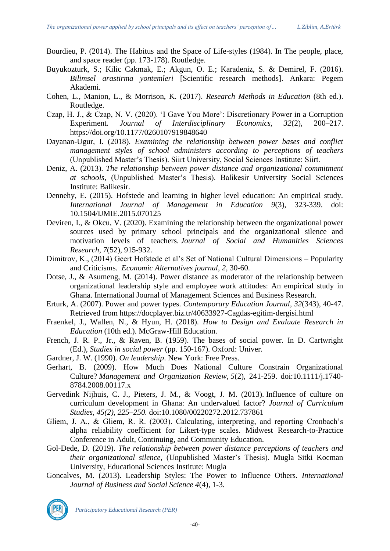- Bourdieu, P. (2014). The Habitus and the Space of Life-styles (1984). In The people, place, and space reader (pp. 173-178). Routledge.
- Buyukozturk, S.; Kilic Cakmak, E.; Akgun, O. E.; Karadeniz, S. & Demirel, F. (2016). *Bilimsel arastirma yontemleri* [Scientific research methods]. Ankara: Pegem Akademi.
- Cohen, L., Manion, L., & Morrison, K. (2017). *Research Methods in Education* (8th ed.). Routledge.
- Czap, H. J., & Czap, N. V. (2020). 'I Gave You More': Discretionary Power in a Corruption Experiment. *Journal of Interdisciplinary Economics, 32*(2), 200–217. https://doi.org/10.1177/0260107919848640
- Dayanan-Ugur, I. (2018). *Examining the relationship between power bases and conflict management styles of school administers according to perceptions of teachers*  (Unpublished Master's Thesis). Siirt University, Social Sciences Institute: Siirt.
- Deniz, A. (2013). *The relationship between power distance and organizational commitment at schools,* (Unpublished Master's Thesis). Balikesir University Social Sciences Institute: Balikesir.
- Dennehy, E. (2015). Hofstede and learning in higher level education: An empirical study. *International Journal of Management in Education 9*(3), 323-339. doi: 10.1504/IJMIE.2015.070125
- Deviren, I., & Okcu, V. (2020). Examining the relationship between the organizational power sources used by primary school principals and the organizational silence and motivation levels of teachers. *Journal of Social and Humanities Sciences Research*, *7*(52), 915-932.
- Dimitrov, K., (2014) Geert Hofstede et al's Set of National Cultural Dimensions Popularity and Criticisms. *Economic Alternatives journal, 2*, 30-60.
- Dotse, J., & Asumeng, M. (2014). Power distance as moderator of the relationship between organizational leadership style and employee work attitudes: An empirical study in Ghana. International Journal of Management Sciences and Business Research.
- Erturk, A. (2007). Power and power types. *Contemporary Education Journal, 32*(343), 40-47. Retrieved from https://docplayer.biz.tr/40633927-Cagdas-egitim-dergisi.html
- Fraenkel, J., Wallen, N., & Hyun, H. (2018). *How to Design and Evaluate Research in Education* (10th ed.). McGraw-Hill Education.
- French, J. R. P., Jr., & Raven, B. (1959). The bases of social power. In D. Cartwright (Ed.), *Studies in social power* (pp. 150-167). Oxford: Univer.
- Gardner, J. W. (1990). *On leadership*. New York: Free Press.
- Gerhart, B. (2009). How Much Does National Culture Constrain Organizational Culture? *Management and Organization Review, 5*(2), 241-259. doi:10.1111/j.1740- 8784.2008.00117.x
- Gervedink Nijhuis, C. J., Pieters, J. M., & Voogt, J. M. (2013). Influence of culture on curriculum development in Ghana: An undervalued factor? *Journal of Curriculum Studies, 45(2), 225–250.* doi:10.1080/00220272.2012.737861
- Gliem, J. A., & Gliem, R. R. (2003). Calculating, interpreting, and reporting Cronbach's alpha reliability coefficient for Likert-type scales. Midwest Research-to-Practice Conference in Adult, Continuing, and Community Education.
- Gol-Dede, D. (2019). *The relationship between power distance perceptions of teachers and their organizational silence,* (Unpublished Master's Thesis). Mugla Sitki Kocman University, Educational Sciences Institute: Mugla
- Goncalves, M. (2013). Leadership Styles: The Power to Influence Others. *International Journal of Business and Social Science 4*(4), 1-3.

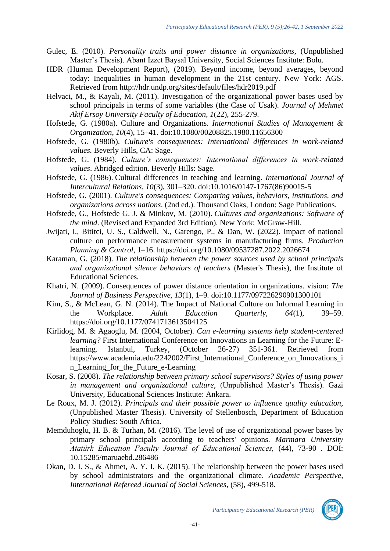- Gulec, E. (2010). *Personality traits and power distance in organizations,* (Unpublished Master's Thesis). Abant Izzet Baysal University, Social Sciences Institute: Bolu.
- HDR (Human Development Report), (2019). Beyond income, beyond averages, beyond today: Inequalities in human development in the 21st century. New York: AGS. Retrieved from<http://hdr.undp.org/sites/default/files/hdr2019.pdf>
- Helvaci, M., & Kayali, M. (2011). Investigation of the organizational power bases used by school principals in terms of some variables (the Case of Usak). *Journal of Mehmet Akif Ersoy University Faculty of Education*, *1*(22), 255-279.
- Hofstede, G. (1980a). Culture and Organizations. *International Studies of Management & Organization, 10*(4), 15–41. doi:10.1080/00208825.1980.11656300
- Hofstede, G. (1980b). *Culture's consequences: International differences in work-related values.* Beverly Hills, CA: Sage.
- Hofstede, G. (1984). *Culture's consequences: International differences in work-related values*. Abridged edition. Beverly Hills: Sage.
- Hofstede, G. (1986). Cultural differences in teaching and learning. *International Journal of Intercultural Relations, 10*(3), 301–320. doi:10.1016/0147-1767(86)90015-5
- Hofstede, G. (2001). *Culture's consequences: Comparing values, behaviors, institutions, and organizations across nations*. (2nd ed.). Thousand Oaks, London: Sage Publications.
- Hofstede, G., Hofstede G. J. & Minkov, M. (2010). *Cultures and organizations: Software of the mind*. (Revised and Expanded 3rd Edition). New York: McGraw-Hill.
- Jwijati, I., Bititci, U. S., Caldwell, N., Garengo, P., & Dan, W. (2022). Impact of national culture on performance measurement systems in manufacturing firms. *Production Planning & Control*, 1–16. https://doi.org/10.1080/09537287.2022.2026674
- Karaman, G. (2018). *The relationship between the power sources used by school principals and organizational silence behaviors of teachers* (Master's Thesis), the Institute of Educational Sciences*.*
- Khatri, N. (2009). Consequences of power distance orientation in organizations. vision: *The Journal of Business Perspective, 13*(1), 1–9*.* doi:10.1177/097226290901300101
- Kim, S., & McLean, G. N. (2014). The Impact of National Culture on Informal Learning in the Workplace. *Adult Education Quarterly, 64*(1), 39–59. <https://doi.org/10.1177/0741713613504125>
- Kirlidog, M. & Agaoglu, M. (2004, October). *Can e-learning systems help student-centered learning?* First International Conference on Innovations in Learning for the Future: Elearning. Istanbul, Turkey, (October 26-27) 351-361. Retrieved from https://www.academia.edu/2242002/First\_International\_Conference\_on\_Innovations\_i n\_Learning\_for\_the\_Future\_e-Learning
- Kosar, S. (2008). *The relationship between primary school supervisors? Styles of using power in management and organizational culture,* (Unpublished Master's Thesis). Gazi University, Educational Sciences Institute: Ankara.
- Le Roux, M. J. (2012). *Principals and their possible power to influence quality education,* (Unpublished Master Thesis). University of Stellenbosch, Department of Education Policy Studies: South Africa.
- Memduhoglu, H. B. & Turhan, M. (2016). The level of use of organizational power bases by primary school principals according to teachers' opinions. *Marmara University Atatürk Education Faculty Journal of Educational Sciences,* (44), 73-90 . DOI: 10.15285/maruaebd.286486
- Okan, D. I. S., & Ahmet, A. Y. I. K. (2015). The relationship between the power bases used by school administrators and the organizational climate. *Academic Perspective, International Refereed Journal of Social Sciences*, (58), 499-518.